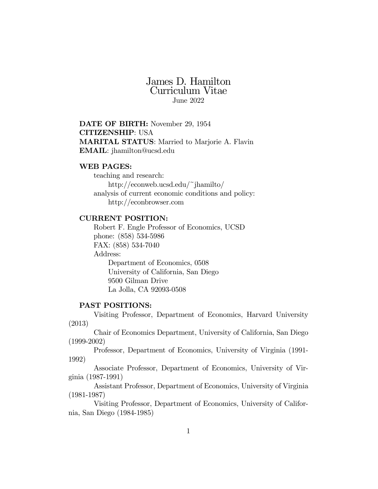# James D. Hamilton Curriculum Vitae June 2022

DATE OF BIRTH: November 29, 1954 CITIZENSHIP: USA MARITAL STATUS: Married to Marjorie A. Flavin EMAIL: jhamilton@ucsd.edu

### WEB PAGES:

teaching and research: http://econweb.ucsd.edu/~jhamilto/ analysis of current economic conditions and policy: http://econbrowser.com

## CURRENT POSITION:

Robert F. Engle Professor of Economics, UCSD phone: (858) 534-5986 FAX: (858) 534-7040 Address: Department of Economics, 0508 University of California, San Diego 9500 Gilman Drive La Jolla, CA 92093-0508

## PAST POSITIONS:

Visiting Professor, Department of Economics, Harvard University (2013)

Chair of Economics Department, University of California, San Diego (1999-2002)

Professor, Department of Economics, University of Virginia (1991- 1992)

Associate Professor, Department of Economics, University of Virginia (1987-1991)

Assistant Professor, Department of Economics, University of Virginia (1981-1987)

Visiting Professor, Department of Economics, University of California, San Diego (1984-1985)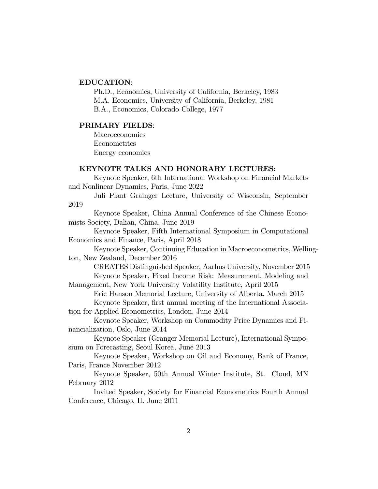## EDUCATION:

Ph.D., Economics, University of California, Berkeley, 1983 M.A. Economics, University of California, Berkeley, 1981 B.A., Economics, Colorado College, 1977

#### PRIMARY FIELDS:

Macroeconomics Econometrics Energy economics

#### KEYNOTE TALKS AND HONORARY LECTURES:

Keynote Speaker, 6th International Workshop on Financial Markets and Nonlinear Dynamics, Paris, June 2022

Juli Plant Grainger Lecture, University of Wisconsin, September 2019

Keynote Speaker, China Annual Conference of the Chinese Economists Society, Dalian, China, June 2019

Keynote Speaker, Fifth International Symposium in Computational Economics and Finance, Paris, April 2018

Keynote Speaker, Continuing Education in Macroeconometrics, Wellington, New Zealand, December 2016

CREATES Distinguished Speaker, Aarhus University, November 2015 Keynote Speaker, Fixed Income Risk: Measurement, Modeling and

Management, New York University Volatility Institute, April 2015

Eric Hanson Memorial Lecture, University of Alberta, March 2015 Keynote Speaker, first annual meeting of the International Associa-

tion for Applied Econometrics, London, June 2014

Keynote Speaker, Workshop on Commodity Price Dynamics and Financialization, Oslo, June 2014

Keynote Speaker (Granger Memorial Lecture), International Symposium on Forecasting, Seoul Korea, June 2013

Keynote Speaker, Workshop on Oil and Economy, Bank of France, Paris, France November 2012

Keynote Speaker, 50th Annual Winter Institute, St. Cloud, MN February 2012

Invited Speaker, Society for Financial Econometrics Fourth Annual Conference, Chicago, IL June 2011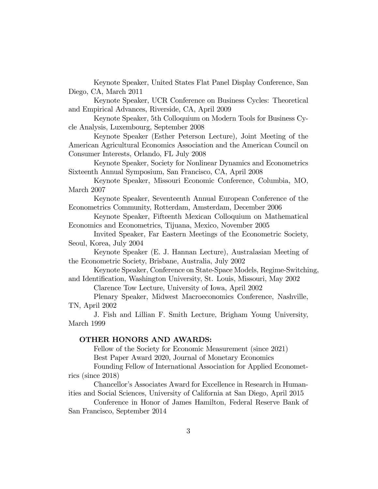Keynote Speaker, United States Flat Panel Display Conference, San Diego, CA, March 2011

Keynote Speaker, UCR Conference on Business Cycles: Theoretical and Empirical Advances, Riverside, CA, April 2009

Keynote Speaker, 5th Colloquium on Modern Tools for Business Cycle Analysis, Luxembourg, September 2008

Keynote Speaker (Esther Peterson Lecture), Joint Meeting of the American Agricultural Economics Association and the American Council on Consumer Interests, Orlando, FL July 2008

Keynote Speaker, Society for Nonlinear Dynamics and Econometrics Sixteenth Annual Symposium, San Francisco, CA, April 2008

Keynote Speaker, Missouri Economic Conference, Columbia, MO, March 2007

Keynote Speaker, Seventeenth Annual European Conference of the Econometrics Community, Rotterdam, Amsterdam, December 2006

Keynote Speaker, Fifteenth Mexican Colloquium on Mathematical Economics and Econometrics, Tijuana, Mexico, November 2005

Invited Speaker, Far Eastern Meetings of the Econometric Society, Seoul, Korea, July 2004

Keynote Speaker (E. J. Hannan Lecture), Australasian Meeting of the Econometric Society, Brisbane, Australia, July 2002

Keynote Speaker, Conference on State-Space Models, Regime-Switching, and Identification, Washington University, St. Louis, Missouri, May 2002

Clarence Tow Lecture, University of Iowa, April 2002

Plenary Speaker, Midwest Macroeconomics Conference, Nashville, TN, April 2002

J. Fish and Lillian F. Smith Lecture, Brigham Young University, March 1999

## OTHER HONORS AND AWARDS:

Fellow of the Society for Economic Measurement (since 2021) Best Paper Award 2020, Journal of Monetary Economics

Founding Fellow of International Association for Applied Econometrics (since 2018)

Chancellor's Associates Award for Excellence in Research in Humanities and Social Sciences, University of California at San Diego, April 2015

Conference in Honor of James Hamilton, Federal Reserve Bank of San Francisco, September 2014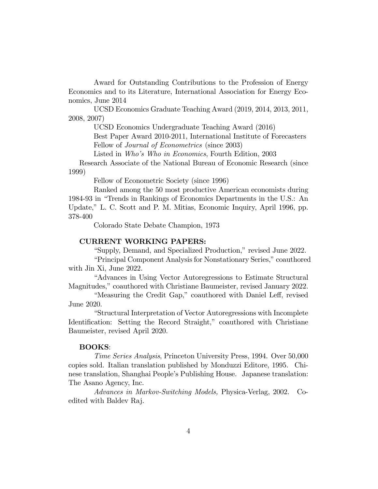Award for Outstanding Contributions to the Profession of Energy Economics and to its Literature, International Association for Energy Economics, June 2014

UCSD Economics Graduate Teaching Award (2019, 2014, 2013, 2011, 2008, 2007)

UCSD Economics Undergraduate Teaching Award (2016)

Best Paper Award 2010-2011, International Institute of Forecasters Fellow of *Journal of Econometrics* (since 2003)

Listed in *Who's Who in Economics*, Fourth Edition, 2003

Research Associate of the National Bureau of Economic Research (since 1999)

Fellow of Econometric Society (since 1996)

Ranked among the 50 most productive American economists during 1984-93 in "Trends in Rankings of Economics Departments in the U.S.: An Update," L. C. Scott and P. M. Mitias, Economic Inquiry, April 1996, pp. 378-400

Colorado State Debate Champion, 1973

## CURRENT WORKING PAPERS:

"Supply, Demand, and Specialized Production," revised June 2022.

"Principal Component Analysis for Nonstationary Series," coauthored with Jin Xi, June 2022.

"Advances in Using Vector Autoregressions to Estimate Structural Magnitudes," coauthored with Christiane Baumeister, revised January 2022.

"Measuring the Credit Gap," coauthored with Daniel Leff, revised June 2020.

"Structural Interpretation of Vector Autoregressions with Incomplete Identification: Setting the Record Straight," coauthored with Christiane Baumeister, revised April 2020.

#### BOOKS:

*Time Series Analysis*, Princeton University Press, 1994. Over 50,000 copies sold. Italian translation published by Monduzzi Editore, 1995. Chinese translation, Shanghai People's Publishing House. Japanese translation: The Asano Agency, Inc.

*Advances in Markov-Switching Models,* Physica-Verlag, 2002. Coedited with Baldev Raj.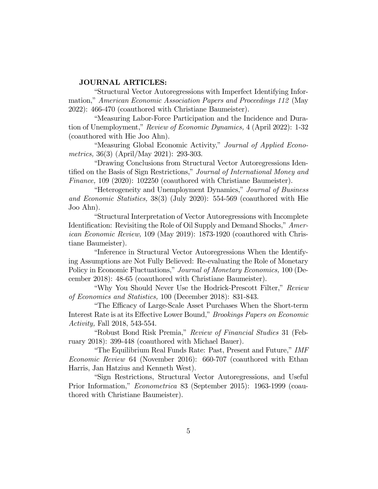## JOURNAL ARTICLES:

"Structural Vector Autoregressions with Imperfect Identifying Information," *American Economic Association Papers and Proceedings 112* (May 2022): 466-470 (coauthored with Christiane Baumeister).

"Measuring Labor-Force Participation and the Incidence and Duration of Unemployment," *Review of Economic Dynamics,* 4 (April 2022): 1-32 (coauthored with Hie Joo Ahn).

"Measuring Global Economic Activity," *Journal of Applied Econometrics,* 36(3) (April/May 2021): 293-303.

"Drawing Conclusions from Structural Vector Autoregressions Identified on the Basis of Sign Restrictions," *Journal of International Money and Finance,* 109 (2020): 102250 (coauthored with Christiane Baumeister).

"Heterogeneity and Unemployment Dynamics," *Journal of Business and Economic Statistics,* 38(3) (July 2020): 554-569 (coauthored with Hie Joo Ahn).

"Structural Interpretation of Vector Autoregressions with Incomplete Identification: Revisiting the Role of Oil Supply and Demand Shocks," *American Economic Review,* 109 (May 2019): 1873-1920 (coauthored with Christiane Baumeister).

"Inference in Structural Vector Autoregressions When the Identifying Assumptions are Not Fully Believed: Re-evaluating the Role of Monetary Policy in Economic Fluctuations," *Journal of Monetary Economics,* 100 (December 2018): 48-65 (coauthored with Christiane Baumeister).

"Why You Should Never Use the Hodrick-Prescott Filter," *Review of Economics and Statistics,* 100 (December 2018): 831-843.

"The Efficacy of Large-Scale Asset Purchases When the Short-term Interest Rate is at its Effective Lower Bound," *Brookings Papers on Economic Activity,* Fall 2018, 543-554.

"Robust Bond Risk Premia," *Review of Financial Studies* 31 (February 2018): 399-448 (coauthored with Michael Bauer).

"The Equilibrium Real Funds Rate: Past, Present and Future," *IMF Economic Review* 64 (November 2016): 660-707 (coauthored with Ethan Harris, Jan Hatzius and Kenneth West).

"Sign Restrictions, Structural Vector Autoregressions, and Useful Prior Information," *Econometrica* 83 (September 2015): 1963-1999 (coauthored with Christiane Baumeister).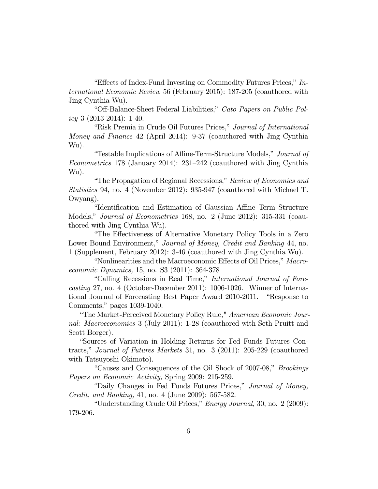"Effects of Index-Fund Investing on Commodity Futures Prices," *International Economic Review* 56 (February 2015): 187-205 (coauthored with Jing Cynthia Wu).

"Off-Balance-Sheet Federal Liabilities," *Cato Papers on Public Policy* 3 (2013-2014): 1-40.

"Risk Premia in Crude Oil Futures Prices," *Journal of International Money and Finance* 42 (April 2014): 9-37 (coauthored with Jing Cynthia Wu).

"Testable Implications of Affine-Term-Structure Models," *Journal of Econometrics* 178 (January 2014): 231—242 (coauthored with Jing Cynthia Wu).

"The Propagation of Regional Recessions," *Review of Economics and Statistics* 94, no. 4 (November 2012): 935-947 (coauthored with Michael T. Owyang).

"Identification and Estimation of Gaussian Affine Term Structure Models," *Journal of Econometrics* 168, no. 2 (June 2012): 315-331 (coauthored with Jing Cynthia Wu).

"The Effectiveness of Alternative Monetary Policy Tools in a Zero Lower Bound Environment," *Journal of Money, Credit and Banking* 44, no. 1 (Supplement, February 2012): 3-46 (coauthored with Jing Cynthia Wu).

"Nonlinearities and the Macroeconomic Effects of Oil Prices," *Macroeconomic Dynamics,* 15, no. S3 (2011): 364-378

"Calling Recessions in Real Time," *International Journal of Forecasting* 27, no. 4 (October-December 2011): 1006-1026. Winner of International Journal of Forecasting Best Paper Award 2010-2011. "Response to Comments," pages 1039-1040.

"The Market-Perceived Monetary Policy Rule," *American Economic Journal: Macroeconomics* 3 (July 2011): 1-28 (coauthored with Seth Pruitt and Scott Borger).

"Sources of Variation in Holding Returns for Fed Funds Futures Contracts," *Journal of Futures Markets* 31, no. 3 (2011): 205-229 (coauthored with Tatsuyoshi Okimoto).

"Causes and Consequences of the Oil Shock of 2007-08," *Brookings Papers on Economic Activity,* Spring 2009: 215-259.

"Daily Changes in Fed Funds Futures Prices," *Journal of Money, Credit, and Banking,* 41, no. 4 (June 2009): 567-582.

"Understanding Crude Oil Prices," *Energy Journal,* 30, no. 2 (2009): 179-206.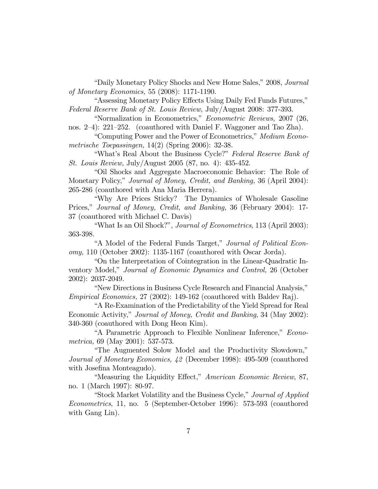"Daily Monetary Policy Shocks and New Home Sales," 2008, *Journal of Monetary Economics,* 55 (2008): 1171-1190.

"Assessing Monetary Policy Effects Using Daily Fed Funds Futures," *Federal Reserve Bank of St. Louis Review,* July/August 2008: 377-393.

"Normalization in Econometrics," *Econometric Reviews,* 2007 (26, nos. 2—4): 221—252. (coauthored with Daniel F. Waggoner and Tao Zha).

"Computing Power and the Power of Econometrics," *Medium Econometrische Toepassingen,* 14(2) (Spring 2006): 32-38.

"What's Real About the Business Cycle?" *Federal Reserve Bank of St. Louis Review,* July/August 2005 (87, no. 4): 435-452.

"Oil Shocks and Aggregate Macroeconomic Behavior: The Role of Monetary Policy," *Journal of Money, Credit, and Banking,* 36 (April 2004): 265-286 (coauthored with Ana Maria Herrera).

"Why Are Prices Sticky? The Dynamics of Wholesale Gasoline Prices," *Journal of Money, Credit, and Banking,* 36 (February 2004): 17- 37 (coauthored with Michael C. Davis)

"What Is an Oil Shock?", *Journal of Econometrics*, 113 (April 2003): 363-398.

"A Model of the Federal Funds Target," *Journal of Political Economy,* 110 (October 2002): 1135-1167 (coauthored with Oscar Jorda).

"On the Interpretation of Cointegration in the Linear-Quadratic Inventory Model," *Journal of Economic Dynamics and Control,* 26 (October 2002): 2037-2049.

"New Directions in Business Cycle Research and Financial Analysis," *Empirical Economics,* 27 (2002): 149-162 (coauthored with Baldev Raj).

"A Re-Examination of the Predictability of the Yield Spread for Real Economic Activity," *Journal of Money, Credit and Banking*, 34 (May 2002): 340-360 (coauthored with Dong Heon Kim).

"A Parametric Approach to Flexible Nonlinear Inference," *Econometrica,* 69 (May 2001): 537-573.

"The Augmented Solow Model and the Productivity Slowdown," *Journal of Monetary Economics, 42* (December 1998): 495-509 (coauthored with Josefina Monteagudo).

"Measuring the Liquidity Effect," *American Economic Review*, 87, no. 1 (March 1997): 80-97.

"Stock Market Volatility and the Business Cycle," *Journal of Applied Econometrics*, 11, no. 5 (September-October 1996): 573-593 (coauthored with Gang Lin).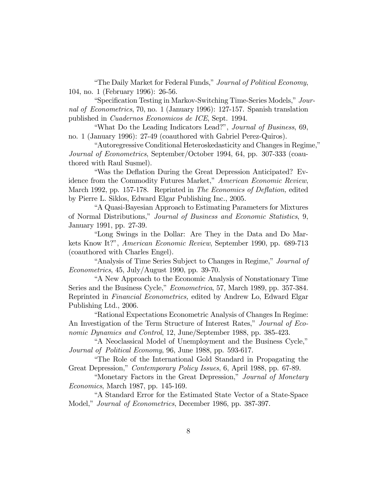"The Daily Market for Federal Funds," *Journal of Political Economy*, 104, no. 1 (February 1996): 26-56.

"Specification Testing in Markov-Switching Time-Series Models," *Journal of Econometrics*, 70, no. 1 (January 1996): 127-157. Spanish translation published in *Cuadernos Economicos de ICE*, Sept. 1994.

"What Do the Leading Indicators Lead?", *Journal of Business*, 69, no. 1 (January 1996): 27-49 (coauthored with Gabriel Perez-Quiros).

"Autoregressive Conditional Heteroskedasticity and Changes in Regime," *Journal of Econometrics*, September/October 1994, 64, pp. 307-333 (coauthored with Raul Susmel).

"Was the Deflation During the Great Depression Anticipated? Evidence from the Commodity Futures Market," *American Economic Review*, March 1992, pp. 157-178. Reprinted in *The Economics of Deflation,* edited by Pierre L. Siklos, Edward Elgar Publishing Inc., 2005.

"A Quasi-Bayesian Approach to Estimating Parameters for Mixtures of Normal Distributions," *Journal of Business and Economic Statistics*, 9, January 1991, pp. 27-39.

"Long Swings in the Dollar: Are They in the Data and Do Markets Know It?", *American Economic Review*, September 1990, pp. 689-713 (coauthored with Charles Engel).

"Analysis of Time Series Subject to Changes in Regime," *Journal of Econometrics*, 45, July/August 1990, pp. 39-70.

"A New Approach to the Economic Analysis of Nonstationary Time Series and the Business Cycle," *Econometrica*, 57, March 1989, pp. 357-384. Reprinted in *Financial Econometrics,* edited by Andrew Lo, Edward Elgar Publishing Ltd., 2006.

"Rational Expectations Econometric Analysis of Changes In Regime: An Investigation of the Term Structure of Interest Rates," *Journal of Economic Dynamics and Control*, 12, June/September 1988, pp. 385-423.

"A Neoclassical Model of Unemployment and the Business Cycle," *Journal of Political Economy*, 96, June 1988, pp. 593-617.

"The Role of the International Gold Standard in Propagating the Great Depression," *Contemporary Policy Issues*, 6, April 1988, pp. 67-89.

"Monetary Factors in the Great Depression," *Journal of Monetary Economics*, March 1987, pp. 145-169.

"A Standard Error for the Estimated State Vector of a State-Space Model," *Journal of Econometrics*, December 1986, pp. 387-397.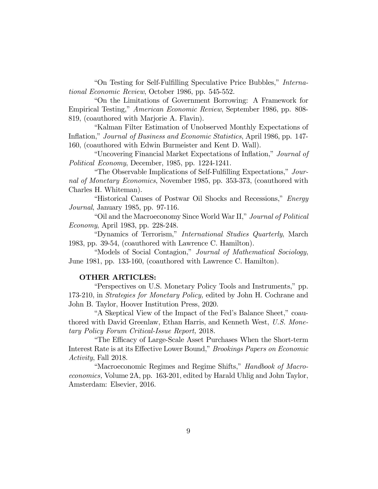"On Testing for Self-Fulfilling Speculative Price Bubbles," *International Economic Review*, October 1986, pp. 545-552.

"On the Limitations of Government Borrowing: A Framework for Empirical Testing," *American Economic Review*, September 1986, pp. 808- 819, (coauthored with Marjorie A. Flavin).

"Kalman Filter Estimation of Unobserved Monthly Expectations of Inflation," *Journal of Business and Economic Statistics*, April 1986, pp. 147- 160, (coauthored with Edwin Burmeister and Kent D. Wall).

"Uncovering Financial Market Expectations of Inflation," *Journal of Political Economy*, December, 1985, pp. 1224-1241.

"The Observable Implications of Self-Fulfilling Expectations," *Journal of Monetary Economics*, November 1985, pp. 353-373, (coauthored with Charles H. Whiteman).

"Historical Causes of Postwar Oil Shocks and Recessions," *Energy Journal*, January 1985, pp. 97-116.

"Oil and the Macroeconomy Since World War II," *Journal of Political Economy*, April 1983, pp. 228-248.

"Dynamics of Terrorism," *International Studies Quarterly*, March 1983, pp. 39-54, (coauthored with Lawrence C. Hamilton).

"Models of Social Contagion," *Journal of Mathematical Sociology*, June 1981, pp. 133-160, (coauthored with Lawrence C. Hamilton).

#### OTHER ARTICLES:

"Perspectives on U.S. Monetary Policy Tools and Instruments," pp. 173-210, in *Strategies for Monetary Policy,* edited by John H. Cochrane and John B. Taylor, Hoover Institution Press, 2020.

"A Skeptical View of the Impact of the Fed's Balance Sheet," coauthored with David Greenlaw, Ethan Harris, and Kenneth West, *U.S. Monetary Policy Forum Critical-Issue Report,* 2018.

"The Efficacy of Large-Scale Asset Purchases When the Short-term Interest Rate is at its Effective Lower Bound," *Brookings Papers on Economic Activity*, Fall 2018.

"Macroeconomic Regimes and Regime Shifts," *Handbook of Macroeconomics,* Volume 2A, pp. 163-201, edited by Harald Uhlig and John Taylor, Amsterdam: Elsevier, 2016.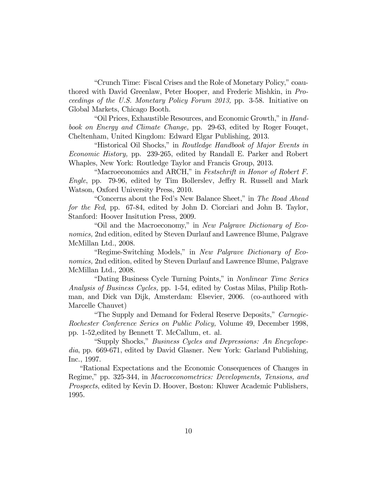"Crunch Time: Fiscal Crises and the Role of Monetary Policy," coauthored with David Greenlaw, Peter Hooper, and Frederic Mishkin, in *Proceedings of the U.S. Monetary Policy Forum 2013,* pp. 3-58. Initiative on Global Markets, Chicago Booth.

"Oil Prices, Exhaustible Resources, and Economic Growth," in *Handbook on Energy and Climate Change,* pp. 29-63, edited by Roger Fouqet, Cheltenham, United Kingdom: Edward Elgar Publishing, 2013.

"Historical Oil Shocks," in *Routledge Handbook of Major Events in Economic History,* pp. 239-265, edited by Randall E. Parker and Robert Whaples, New York: Routledge Taylor and Francis Group, 2013.

"Macroeconomics and ARCH," in *Festschrift in Honor of Robert F. Engle*, pp. 79-96, edited by Tim Bollerslev, Jeffry R. Russell and Mark Watson, Oxford University Press, 2010.

"Concerns about the Fed's New Balance Sheet," in *The Road Ahead for the Fed*, pp. 67-84, edited by John D. Ciorciari and John B. Taylor, Stanford: Hoover Insitution Press, 2009.

"Oil and the Macroeconomy," in *New Palgrave Dictionary of Economics,* 2nd edition, edited by Steven Durlauf and Lawrence Blume, Palgrave McMillan Ltd., 2008.

"Regime-Switching Models," in *New Palgrave Dictionary of Economics,* 2nd edition, edited by Steven Durlauf and Lawrence Blume, Palgrave McMillan Ltd., 2008.

"Dating Business Cycle Turning Points," in *Nonlinear Time Series Analysis of Business Cycles,* pp. 1-54, edited by Costas Milas, Philip Rothman, and Dick van Dijk, Amsterdam: Elsevier, 2006. (co-authored with Marcelle Chauvet)

"The Supply and Demand for Federal Reserve Deposits," *Carnegie-Rochester Conference Series on Public Policy,* Volume 49, December 1998, pp. 1-52,edited by Bennett T. McCallum, et. al.

"Supply Shocks," *Business Cycles and Depressions: An Encyclopedia*, pp. 669-671, edited by David Glasner. New York: Garland Publishing, Inc., 1997.

"Rational Expectations and the Economic Consequences of Changes in Regime," pp. 325-344, in *Macroeconometrics: Developments, Tensions, and Prospects*, edited by Kevin D. Hoover, Boston: Kluwer Academic Publishers, 1995.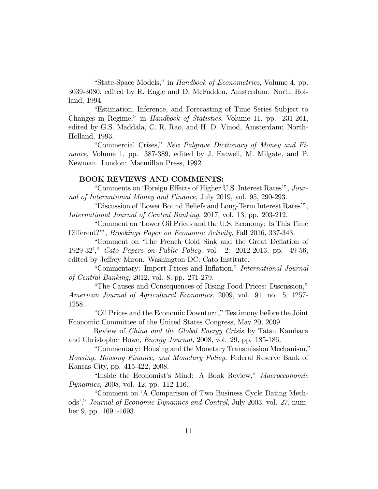"State-Space Models," in *Handbook of Econometrics*, Volume 4, pp. 3039-3080, edited by R. Engle and D. McFadden, Amsterdam: North Holland, 1994.

"Estimation, Inference, and Forecasting of Time Series Subject to Changes in Regime," in *Handbook of Statistics*, Volume 11, pp. 231-261, edited by G.S. Maddala, C. R. Rao, and H. D. Vinod, Amsterdam: North-Holland, 1993.

"Commercial Crises," *New Palgrave Dictionary of Money and Finance*, Volume 1, pp. 387-389, edited by J. Eatwell, M. Milgate, and P. Newman. London: Macmillan Press, 1992.

#### BOOK REVIEWS AND COMMENTS:

"Comments on 'Foreign Effects of Higher U.S. Interest Rates'", *Journal of International Money and Finance,* July 2019, vol. 95, 290-293.

"Discussion of 'Lower Bound Beliefs and Long-Term Interest Rates'", *International Journal of Central Banking,* 2017, vol. 13, pp. 203-212.

"Comment on 'Lower Oil Prices and the U.S. Economy: Is This Time Different?'", *Brookings Paper on Economic Activity*, Fall 2016, 337-343.

"Comment on 'The French Gold Sink and the Great Deflation of 1929-32'," *Cato Papers on Public Policy,* vol. 2: 2012-2013, pp. 49-56, edited by Jeffrey Miron. Washington DC: Cato Institute.

"Commentary: Import Prices and Inflation," *International Journal of Central Banking,* 2012, vol. 8, pp. 271-279.

"The Causes and Consequences of Rising Food Prices: Discussion," *American Journal of Agricultural Economics,* 2009, vol. 91, no. 5, 1257- 1258..

"Oil Prices and the Economic Downturn," Testimony before the Joint Economic Committee of the United States Congress, May 20, 2009.

Review of *China and the Global Energy Crisis* by Tatsu Kambara and Christopher Howe, *Energy Journal,* 2008, vol. 29, pp. 185-186.

"Commentary: Housing and the Monetary Transmission Mechanism," *Housing, Housing Finance, and Monetary Policy,* Federal Reserve Bank of Kansas City, pp. 415-422, 2008.

"Inside the Economist's Mind: A Book Review," *Macroeconomic Dynamics,* 2008, vol. 12, pp. 112-116.

"Comment on 'A Comparison of Two Business Cycle Dating Methods'," *Journal of Economic Dynamics and Control*, July 2003, vol. 27, number 9, pp. 1691-1693.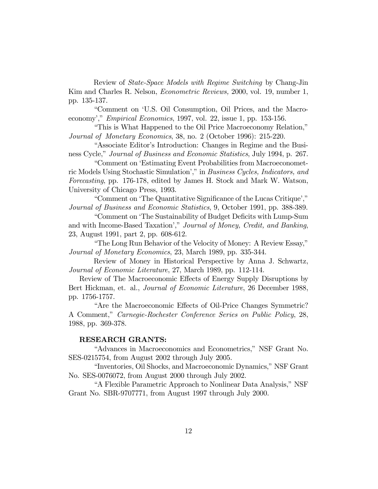Review of *State-Space Models with Regime Switching* by Chang-Jin Kim and Charles R. Nelson, *Econometric Reviews,* 2000, vol. 19, number 1, pp. 135-137.

"Comment on 'U.S. Oil Consumption, Oil Prices, and the Macroeconomy'," *Empirical Economics*, 1997, vol. 22, issue 1, pp. 153-156.

"This is What Happened to the Oil Price Macroeconomy Relation," *Journal of Monetary Economics*, 38, no. 2 (October 1996): 215-220.

"Associate Editor's Introduction: Changes in Regime and the Business Cycle," *Journal of Business and Economic Statistics*, July 1994, p. 267.

"Comment on 'Estimating Event Probabilities from Macroeconometric Models Using Stochastic Simulation'," in *Business Cycles, Indicators, and Forecasting*, pp. 176-178, edited by James H. Stock and Mark W. Watson, University of Chicago Press, 1993.

"Comment on 'The Quantitative Significance of the Lucas Critique'," *Journal of Business and Economic Statistics*, 9, October 1991, pp. 388-389.

"Comment on 'The Sustainability of Budget Deficits with Lump-Sum and with Income-Based Taxation'," *Journal of Money, Credit, and Banking*, 23, August 1991, part 2, pp. 608-612.

"The Long Run Behavior of the Velocity of Money: A Review Essay," *Journal of Monetary Economics*, 23, March 1989, pp. 335-344.

Review of Money in Historical Perspective by Anna J. Schwartz, *Journal of Economic Literature*, 27, March 1989, pp. 112-114.

Review of The Macroeconomic Effects of Energy Supply Disruptions by Bert Hickman, et. al., *Journal of Economic Literature*, 26 December 1988, pp. 1756-1757.

"Are the Macroeconomic Effects of Oil-Price Changes Symmetric? A Comment," *Carnegie-Rochester Conference Series on Public Policy*, 28, 1988, pp. 369-378.

## RESEARCH GRANTS:

"Advances in Macroeconomics and Econometrics," NSF Grant No. SES-0215754, from August 2002 through July 2005.

"Inventories, Oil Shocks, and Macroeconomic Dynamics," NSF Grant No. SES-0076072, from August 2000 through July 2002.

"A Flexible Parametric Approach to Nonlinear Data Analysis," NSF Grant No. SBR-9707771, from August 1997 through July 2000.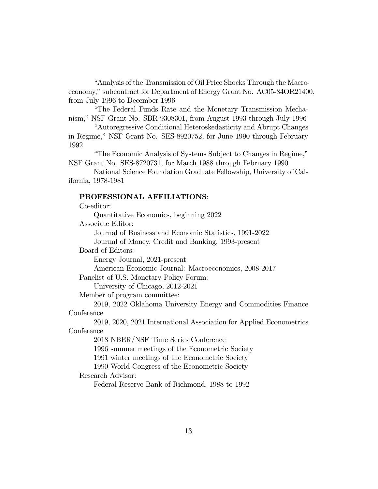"Analysis of the Transmission of Oil Price Shocks Through the Macroeconomy," subcontract for Department of Energy Grant No. AC05-84OR21400, from July 1996 to December 1996

"The Federal Funds Rate and the Monetary Transmission Mechanism," NSF Grant No. SBR-9308301, from August 1993 through July 1996

"Autoregressive Conditional Heteroskedasticity and Abrupt Changes in Regime," NSF Grant No. SES-8920752, for June 1990 through February 1992

"The Economic Analysis of Systems Subject to Changes in Regime," NSF Grant No. SES-8720731, for March 1988 through February 1990

National Science Foundation Graduate Fellowship, University of California, 1978-1981

### PROFESSIONAL AFFILIATIONS:

Co-editor:

Quantitative Economics, beginning 2022

Associate Editor:

Journal of Business and Economic Statistics, 1991-2022 Journal of Money, Credit and Banking, 1993-present

Board of Editors:

Energy Journal, 2021-present

American Economic Journal: Macroeconomics, 2008-2017

Panelist of U.S. Monetary Policy Forum:

University of Chicago, 2012-2021

Member of program committee:

2019, 2022 Oklahoma University Energy and Commodities Finance **Conference** 

2019, 2020, 2021 International Association for Applied Econometrics Conference

2018 NBER/NSF Time Series Conference

1996 summer meetings of the Econometric Society

1991 winter meetings of the Econometric Society

1990 World Congress of the Econometric Society

Research Advisor:

Federal Reserve Bank of Richmond, 1988 to 1992